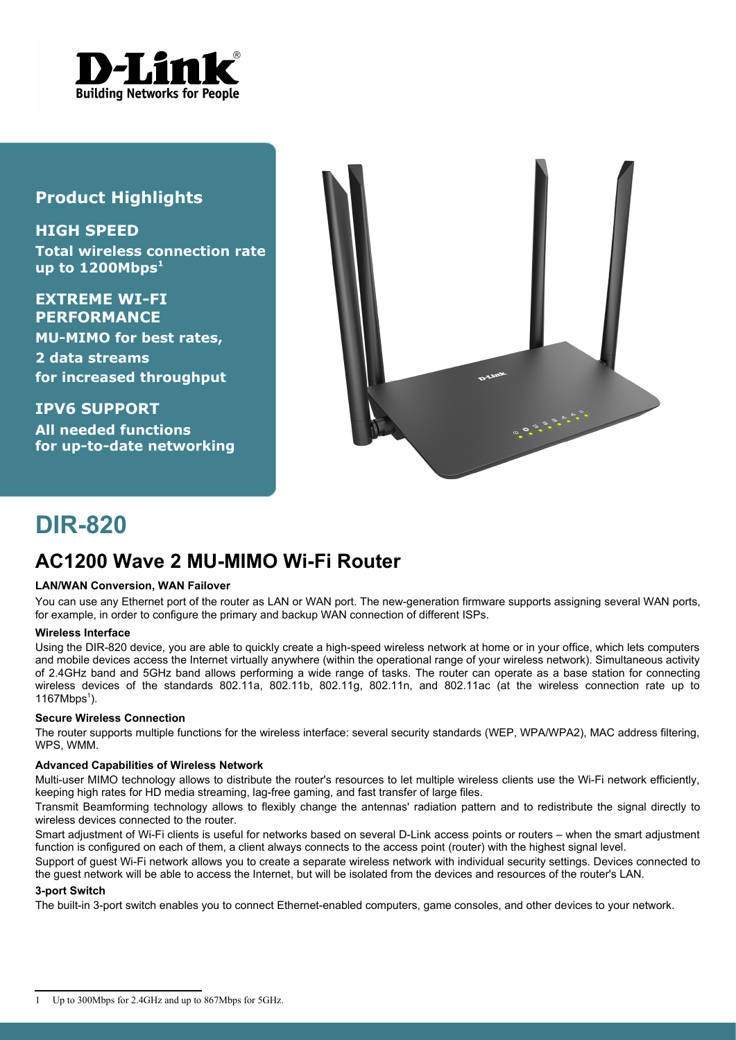

### **Product Highlights**

**HIGH SPEED Total wireless connection rate up to 1200Mbps[1](#page-0-0)**

**EXTREME WI-FI PERFORMANCE MU-MIMO for best rates, 2 data streams for increased throughput**

**IPV6 SUPPORT All needed functions for up-to-date networking**



# **DIR-820**

## **AC1200 Wave 2 MU-MIMO Wi-Fi Router**

#### **LAN/WAN Conversion, WAN Failover**

You can use any Ethernet port of the router as LAN or WAN port. The new-generation firmware supports assigning several WAN ports, for example, in order to configure the primary and backup WAN connection of different ISPs.

#### **Wireless Interface**

Using the DIR-820 device, you are able to quickly create a high-speed wireless network at home or in your office, which lets computers and mobile devices access the Internet virtually anywhere (within the operational range of your wireless network). Simultaneous activity of 2.4GHz band and 5GHz band allows performing a wide range of tasks. The router can operate as a base station for connecting wireless devices of the standards 802.11a, 802.11b, 802.11g, 802.11n, and 802.11ac (at the wireless connection rate up to [1](#page-0-0)167Mbps<sup>1</sup>).

#### **Secure Wireless Connection**

The router supports multiple functions for the wireless interface: several security standards (WEP, WPA/WPA2), MAC address filtering, WPS, WMM.

#### **Advanced Capabilities of Wireless Network**

Multi-user MIMO technology allows to distribute the router's resources to let multiple wireless clients use the Wi-Fi network efficiently, keeping high rates for HD media streaming, lag-free gaming, and fast transfer of large files.

Transmit Beamforming technology allows to flexibly change the antennas' radiation pattern and to redistribute the signal directly to wireless devices connected to the router.

Smart adjustment of Wi-Fi clients is useful for networks based on several D-Link access points or routers – when the smart adjustment function is configured on each of them, a client always connects to the access point (router) with the highest signal level.

Support of guest Wi-Fi network allows you to create a separate wireless network with individual security settings. Devices connected to the guest network will be able to access the Internet, but will be isolated from the devices and resources of the router's LAN.

#### **3-port Switch**

The built-in 3-port switch enables you to connect Ethernet-enabled computers, game consoles, and other devices to your network.

<span id="page-0-0"></span><sup>1</sup> Up to 300Mbps for 2.4GHz and up to 867Mbps for 5GHz.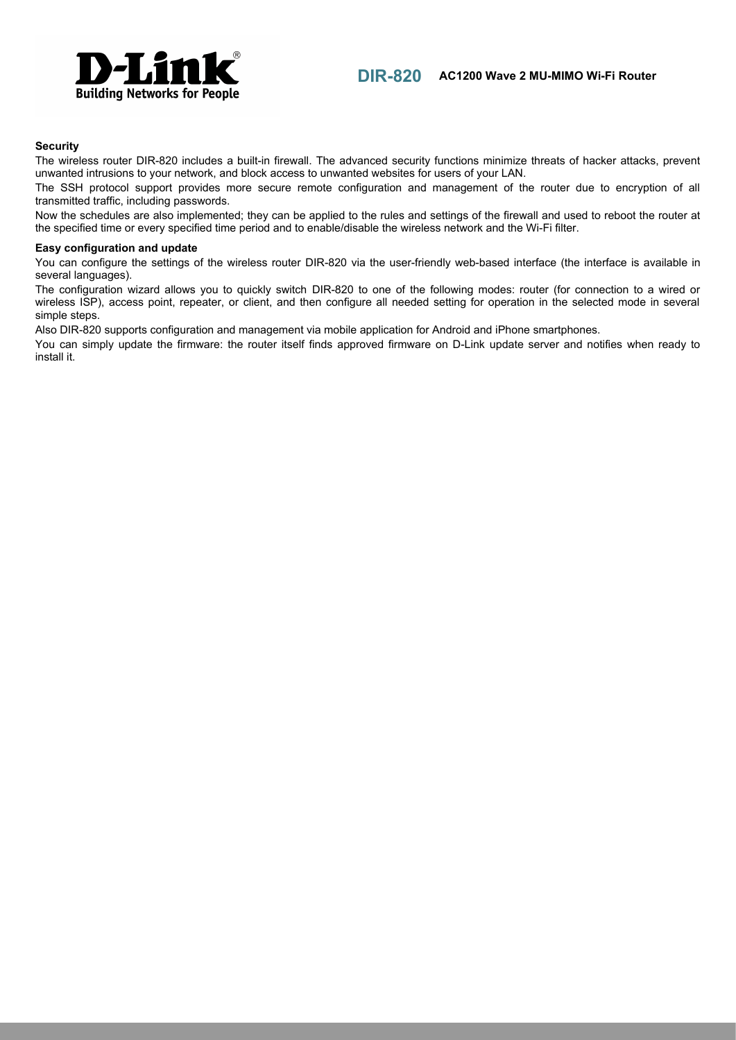

#### **Security**

The wireless router DIR-820 includes a built-in firewall. The advanced security functions minimize threats of hacker attacks, prevent unwanted intrusions to your network, and block access to unwanted websites for users of your LAN.

The SSH protocol support provides more secure remote configuration and management of the router due to encryption of all transmitted traffic, including passwords.

Now the schedules are also implemented; they can be applied to the rules and settings of the firewall and used to reboot the router at the specified time or every specified time period and to enable/disable the wireless network and the Wi-Fi filter.

#### **Easy configuration and update**

You can configure the settings of the wireless router DIR-820 via the user-friendly web-based interface (the interface is available in several languages).

The configuration wizard allows you to quickly switch DIR-820 to one of the following modes: router (for connection to a wired or wireless ISP), access point, repeater, or client, and then configure all needed setting for operation in the selected mode in several simple steps.

Also DIR-820 supports configuration and management via mobile application for Android and iPhone smartphones.

You can simply update the firmware: the router itself finds approved firmware on D-Link update server and notifies when ready to install it.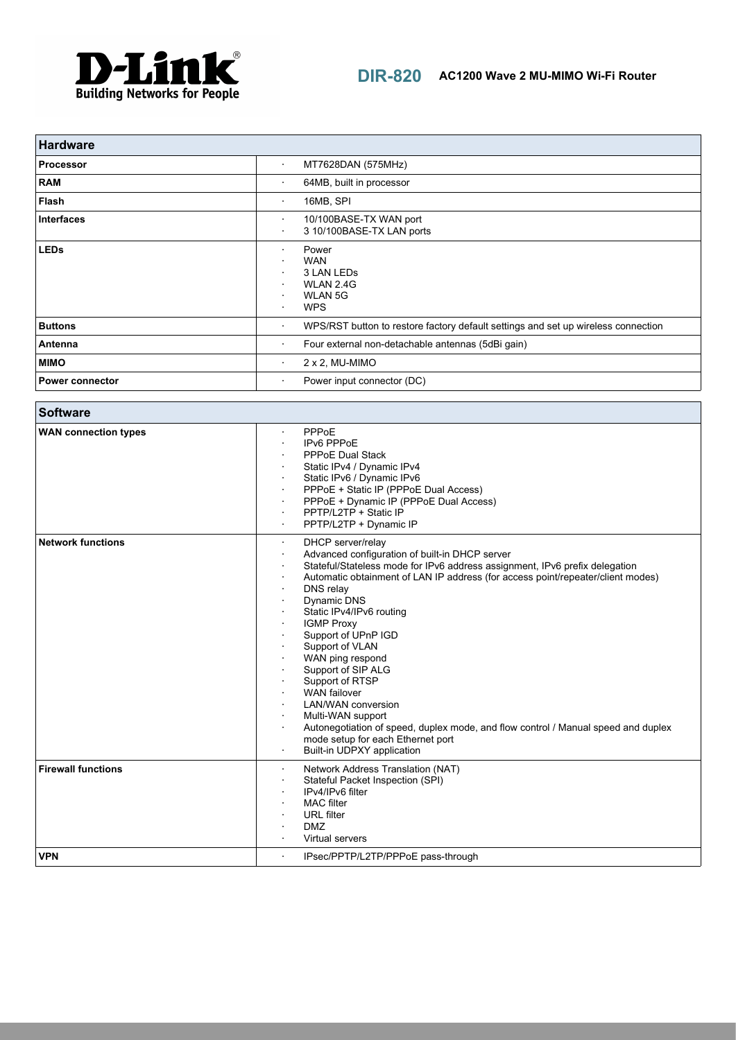

| <b>Hardware</b>        |                                                                                                  |
|------------------------|--------------------------------------------------------------------------------------------------|
| <b>Processor</b>       | MT7628DAN (575MHz)<br>$\bullet$                                                                  |
| <b>RAM</b>             | 64MB, built in processor<br>٠                                                                    |
| Flash                  | 16MB, SPI<br>$\bullet$                                                                           |
| <b>Interfaces</b>      | 10/100BASE-TX WAN port<br>$\bullet$<br>3 10/100BASE-TX LAN ports<br>٠                            |
| <b>LEDs</b>            | Power<br>$\blacksquare$<br><b>WAN</b><br>3 LAN LEDS<br>WLAN 2.4G<br><b>WLAN 5G</b><br><b>WPS</b> |
| <b>Buttons</b>         | WPS/RST button to restore factory default settings and set up wireless connection<br>$\bullet$   |
| Antenna                | Four external non-detachable antennas (5dBi gain)<br>$\bullet$                                   |
| <b>MIMO</b>            | $2 \times 2$ , MU-MIMO<br>$\bullet$                                                              |
| <b>Power connector</b> | Power input connector (DC)<br>٠                                                                  |

| <b>Software</b>             |                                                                                                                                                                                                                                                                                                                                                                                                                                                                                                                                                                                                                                                                 |
|-----------------------------|-----------------------------------------------------------------------------------------------------------------------------------------------------------------------------------------------------------------------------------------------------------------------------------------------------------------------------------------------------------------------------------------------------------------------------------------------------------------------------------------------------------------------------------------------------------------------------------------------------------------------------------------------------------------|
| <b>WAN</b> connection types | PPPoE<br>IPv6 PPPoE<br><b>PPPoE Dual Stack</b><br>Static IPv4 / Dynamic IPv4<br>Static IPv6 / Dynamic IPv6<br>PPPoE + Static IP (PPPoE Dual Access)<br>PPPoE + Dynamic IP (PPPoE Dual Access)<br>PPTP/L2TP + Static IP<br>PPTP/L2TP + Dynamic IP                                                                                                                                                                                                                                                                                                                                                                                                                |
| <b>Network functions</b>    | DHCP server/relay<br>٠<br>Advanced configuration of built-in DHCP server<br>Stateful/Stateless mode for IPv6 address assignment, IPv6 prefix delegation<br>Automatic obtainment of LAN IP address (for access point/repeater/client modes)<br>DNS relay<br>Dynamic DNS<br>Static IPv4/IPv6 routing<br><b>IGMP Proxy</b><br>Support of UPnP IGD<br>Support of VLAN<br>WAN ping respond<br>Support of SIP ALG<br>Support of RTSP<br><b>WAN</b> failover<br><b>LAN/WAN</b> conversion<br>Multi-WAN support<br>Autonegotiation of speed, duplex mode, and flow control / Manual speed and duplex<br>mode setup for each Ethernet port<br>Built-in UDPXY application |
| <b>Firewall functions</b>   | Network Address Translation (NAT)<br>Stateful Packet Inspection (SPI)<br>IPv4/IPv6 filter<br><b>MAC</b> filter<br><b>URL</b> filter<br><b>DMZ</b><br>Virtual servers                                                                                                                                                                                                                                                                                                                                                                                                                                                                                            |
| <b>VPN</b>                  | IPsec/PPTP/L2TP/PPPoE pass-through<br>$\cdot$                                                                                                                                                                                                                                                                                                                                                                                                                                                                                                                                                                                                                   |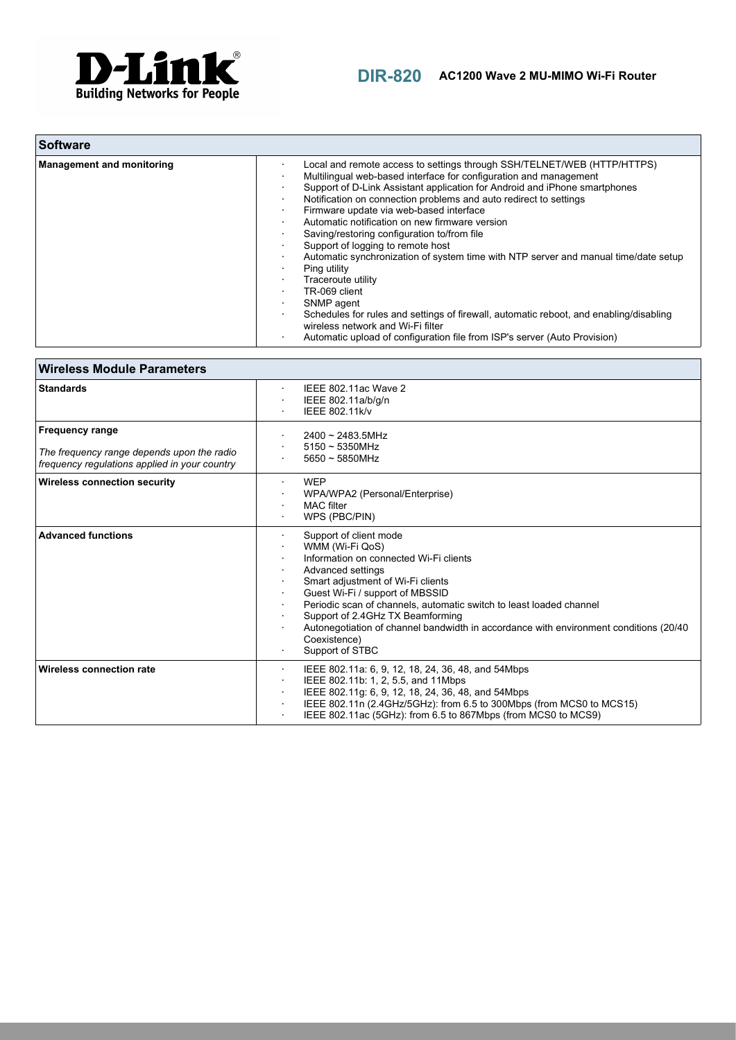

| ∣ Software                       |                                                                                                                                                                                                                                                                                                                                                                                                                                                                                                                                                                                                                                                                                                                                                                             |
|----------------------------------|-----------------------------------------------------------------------------------------------------------------------------------------------------------------------------------------------------------------------------------------------------------------------------------------------------------------------------------------------------------------------------------------------------------------------------------------------------------------------------------------------------------------------------------------------------------------------------------------------------------------------------------------------------------------------------------------------------------------------------------------------------------------------------|
| <b>Management and monitoring</b> | Local and remote access to settings through SSH/TELNET/WEB (HTTP/HTTPS)<br>Multilingual web-based interface for configuration and management<br>Support of D-Link Assistant application for Android and iPhone smartphones<br>Notification on connection problems and auto redirect to settings<br>Firmware update via web-based interface<br>Automatic notification on new firmware version<br>Saving/restoring configuration to/from file<br>Support of logging to remote host<br>Automatic synchronization of system time with NTP server and manual time/date setup<br>Ping utility<br>Traceroute utility<br>TR-069 client<br>SNMP agent<br>Schedules for rules and settings of firewall, automatic reboot, and enabling/disabling<br>wireless network and Wi-Fi filter |
|                                  | Automatic upload of configuration file from ISP's server (Auto Provision)                                                                                                                                                                                                                                                                                                                                                                                                                                                                                                                                                                                                                                                                                                   |

| <b>Wireless Module Parameters</b>                                                                                     |                                                                                                                                                                                                                                                                                                                                                                                                                               |
|-----------------------------------------------------------------------------------------------------------------------|-------------------------------------------------------------------------------------------------------------------------------------------------------------------------------------------------------------------------------------------------------------------------------------------------------------------------------------------------------------------------------------------------------------------------------|
| <b>Standards</b>                                                                                                      | IEEE 802.11ac Wave 2<br>$\sim$<br>IEEE 802.11a/b/g/n<br>٠<br>IEEE 802.11k/v                                                                                                                                                                                                                                                                                                                                                   |
| <b>Frequency range</b><br>The frequency range depends upon the radio<br>frequency requlations applied in your country | $2400 \sim 2483.5$ MHz<br>$5150 \sim 5350$ MHz<br>$5650 \sim 5850$ MHz                                                                                                                                                                                                                                                                                                                                                        |
| <b>Wireless connection security</b>                                                                                   | <b>WEP</b><br>WPA/WPA2 (Personal/Enterprise)<br><b>MAC</b> filter<br>WPS (PBC/PIN)                                                                                                                                                                                                                                                                                                                                            |
| <b>Advanced functions</b>                                                                                             | Support of client mode<br>WMM (Wi-Fi QoS)<br>Information on connected Wi-Fi clients<br>Advanced settings<br>Smart adjustment of Wi-Fi clients<br>Guest Wi-Fi / support of MBSSID<br>٠<br>Periodic scan of channels, automatic switch to least loaded channel<br>Support of 2.4GHz TX Beamforming<br>Autonegotiation of channel bandwidth in accordance with environment conditions (20/40)<br>Coexistence)<br>Support of STBC |
| Wireless connection rate                                                                                              | IEEE 802.11a: 6, 9, 12, 18, 24, 36, 48, and 54Mbps<br>$\bullet$<br>IEEE 802.11b: 1, 2, 5.5, and 11Mbps<br>$\bullet$<br>IEEE 802.11g: 6, 9, 12, 18, 24, 36, 48, and 54Mbps<br>IEEE 802.11n (2.4GHz/5GHz): from 6.5 to 300Mbps (from MCS0 to MCS15)<br>٠<br>IEEE 802.11ac (5GHz): from 6.5 to 867Mbps (from MCS0 to MCS9)                                                                                                       |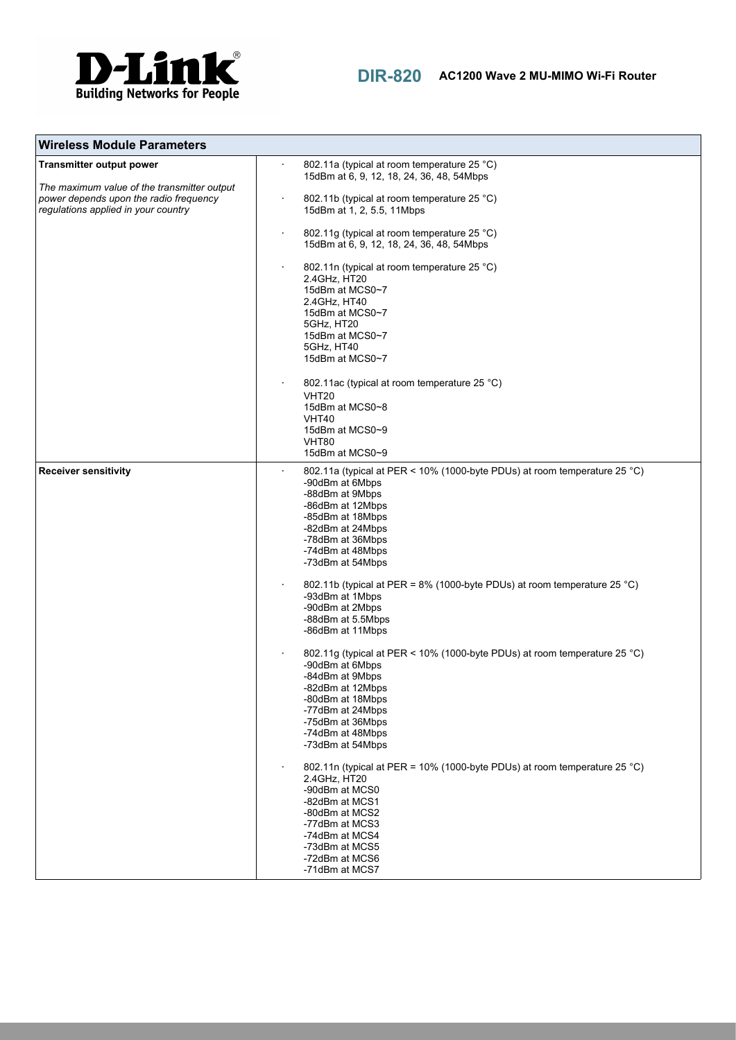

| <b>Wireless Module Parameters</b>                                                                                                                               |                                                                                                                                                                                                                                                                                                                                                                                                                                                                                                                                                                                                                                                                                                                                                                                                                                                                                                 |
|-----------------------------------------------------------------------------------------------------------------------------------------------------------------|-------------------------------------------------------------------------------------------------------------------------------------------------------------------------------------------------------------------------------------------------------------------------------------------------------------------------------------------------------------------------------------------------------------------------------------------------------------------------------------------------------------------------------------------------------------------------------------------------------------------------------------------------------------------------------------------------------------------------------------------------------------------------------------------------------------------------------------------------------------------------------------------------|
| <b>Transmitter output power</b><br>The maximum value of the transmitter output<br>power depends upon the radio frequency<br>regulations applied in your country | 802.11a (typical at room temperature 25 °C)<br>15dBm at 6, 9, 12, 18, 24, 36, 48, 54Mbps<br>802.11b (typical at room temperature 25 °C)<br>15dBm at 1, 2, 5.5, 11Mbps<br>802.11g (typical at room temperature 25 °C)<br>15dBm at 6, 9, 12, 18, 24, 36, 48, 54Mbps<br>802.11n (typical at room temperature 25 °C)<br>2.4GHz, HT20<br>15dBm at MCS0~7<br>2.4 GHz, HT40<br>15dBm at MCS0~7<br>5GHz, HT20<br>15dBm at MCS0~7<br>5GHz, HT40<br>15dBm at MCS0~7<br>802.11ac (typical at room temperature 25 °C)<br><b>VHT20</b><br>15dBm at MCS0~8<br>VHT40<br>15dBm at MCS0~9<br>VHT80<br>15dBm at MCS0~9                                                                                                                                                                                                                                                                                            |
| <b>Receiver sensitivity</b>                                                                                                                                     | 802.11a (typical at PER < 10% (1000-byte PDUs) at room temperature 25 °C)<br>٠<br>-90dBm at 6Mbps<br>-88dBm at 9Mbps<br>-86dBm at 12Mbps<br>-85dBm at 18Mbps<br>-82dBm at 24Mbps<br>-78dBm at 36Mbps<br>-74dBm at 48Mbps<br>-73dBm at 54Mbps<br>802.11b (typical at PER = 8% (1000-byte PDUs) at room temperature 25 °C)<br>-93dBm at 1Mbps<br>-90dBm at 2Mbps<br>-88dBm at 5.5Mbps<br>-86dBm at 11Mbps<br>802.11g (typical at PER < 10% (1000-byte PDUs) at room temperature 25 °C)<br>-90dBm at 6Mbps<br>-84dBm at 9Mbps<br>-82dBm at 12Mbps<br>-80dBm at 18Mbps<br>-77dBm at 24Mbps<br>-75dBm at 36Mbps<br>-74dBm at 48Mbps<br>-73dBm at 54Mbps<br>802.11n (typical at PER = 10% (1000-byte PDUs) at room temperature 25 °C)<br>2.4GHz, HT20<br>-90dBm at MCS0<br>-82dBm at MCS1<br>-80dBm at MCS2<br>-77dBm at MCS3<br>-74dBm at MCS4<br>-73dBm at MCS5<br>-72dBm at MCS6<br>-71dBm at MCS7 |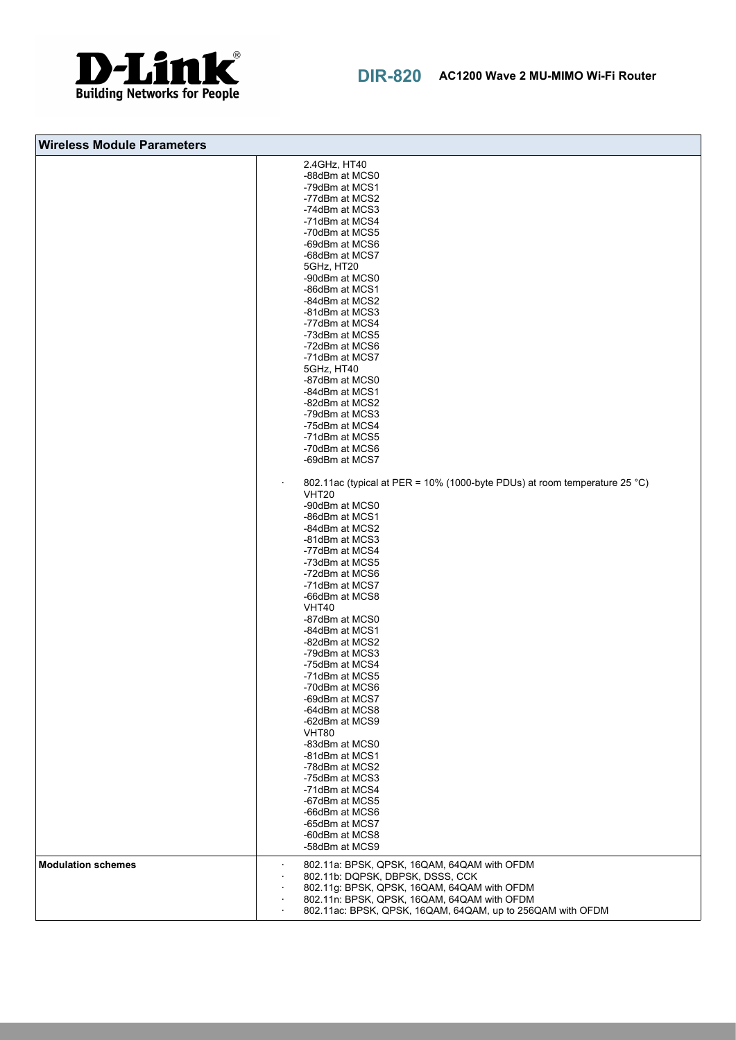

| <b>Wireless Module Parameters</b> |                                                                                                                                                                                                                                                                                                                                                                                                                                                                                                                                                                                                                                                                                                                                                                                                                                                                                                                                                                                                                                                                                                                                                           |
|-----------------------------------|-----------------------------------------------------------------------------------------------------------------------------------------------------------------------------------------------------------------------------------------------------------------------------------------------------------------------------------------------------------------------------------------------------------------------------------------------------------------------------------------------------------------------------------------------------------------------------------------------------------------------------------------------------------------------------------------------------------------------------------------------------------------------------------------------------------------------------------------------------------------------------------------------------------------------------------------------------------------------------------------------------------------------------------------------------------------------------------------------------------------------------------------------------------|
|                                   | 2.4GHz, HT40<br>-88dBm at MCS0<br>-79dBm at MCS1<br>-77dBm at MCS2<br>-74dBm at MCS3<br>-71dBm at MCS4<br>-70dBm at MCS5<br>-69dBm at MCS6<br>-68dBm at MCS7<br>5GHz, HT20<br>-90dBm at MCS0<br>-86dBm at MCS1<br>-84dBm at MCS2<br>-81dBm at MCS3<br>-77dBm at MCS4<br>-73dBm at MCS5<br>-72dBm at MCS6<br>-71dBm at MCS7<br>5GHz, HT40<br>-87dBm at MCS0<br>-84dBm at MCS1<br>-82dBm at MCS2<br>-79dBm at MCS3<br>-75dBm at MCS4<br>-71dBm at MCS5<br>-70dBm at MCS6<br>-69dBm at MCS7<br>802.11ac (typical at PER = 10% (1000-byte PDUs) at room temperature 25 °C)<br><b>VHT20</b><br>-90dBm at MCS0<br>-86dBm at MCS1<br>-84dBm at MCS2<br>-81dBm at MCS3<br>-77dBm at MCS4<br>-73dBm at MCS5<br>-72dBm at MCS6<br>-71dBm at MCS7<br>-66dBm at MCS8<br>VHT40<br>-87dBm at MCS0<br>-84dBm at MCS1<br>-82dBm at MCS2<br>-79dBm at MCS3<br>-75dBm at MCS4<br>-71dBm at MCS5<br>-70dBm at MCS6<br>-69dBm at MCS7<br>-64dBm at MCS8<br>-62dBm at MCS9<br><b>VHT80</b><br>-83dBm at MCS0<br>-81dBm at MCS1<br>-78dBm at MCS2<br>-75dBm at MCS3<br>-71dBm at MCS4<br>-67dBm at MCS5<br>-66dBm at MCS6<br>-65dBm at MCS7<br>-60dBm at MCS8<br>-58dBm at MCS9 |
| <b>Modulation schemes</b>         | 802.11a: BPSK, QPSK, 16QAM, 64QAM with OFDM<br>802.11b: DQPSK, DBPSK, DSSS, CCK<br>802.11g: BPSK, QPSK, 16QAM, 64QAM with OFDM<br>802.11n: BPSK, QPSK, 16QAM, 64QAM with OFDM<br>802.11ac: BPSK, QPSK, 16QAM, 64QAM, up to 256QAM with OFDM<br>$\blacksquare$                                                                                                                                                                                                                                                                                                                                                                                                                                                                                                                                                                                                                                                                                                                                                                                                                                                                                             |